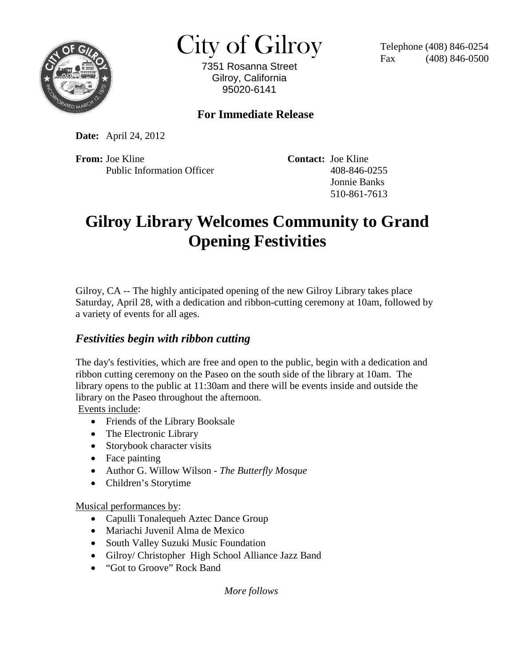

 $\text{City of Gilroy} \qquad \text{Telephone (408) 846-0254}$ 

7351 Rosanna Street Gilroy, California 95020-6141

## **For Immediate Release**

**Date:** April 24, 2012

**From:** Joe Kline **Contact:** Joe Kline Public Information Officer 408-846-0255

 Jonnie Banks 510-861-7613

## **Gilroy Library Welcomes Community to Grand Opening Festivities**

Gilroy, CA -- The highly anticipated opening of the new Gilroy Library takes place Saturday, April 28, with a dedication and ribbon-cutting ceremony at 10am, followed by a variety of events for all ages.

## *Festivities begin with ribbon cutting*

The day's festivities, which are free and open to the public, begin with a dedication and ribbon cutting ceremony on the Paseo on the south side of the library at 10am. The library opens to the public at 11:30am and there will be events inside and outside the library on the Paseo throughout the afternoon.

Events include:

- Friends of the Library Booksale
- The Electronic Library
- Storybook character visits
- Face painting
- Author G. Willow Wilson *The Butterfly Mosque*
- Children's Storytime

Musical performances by:

- Capulli Tonalequeh Aztec Dance Group
- Mariachi Juvenil Alma de Mexico
- South Valley Suzuki Music Foundation
- Gilroy/ Christopher High School Alliance Jazz Band
- "Got to Groove" Rock Band

 *More follows*